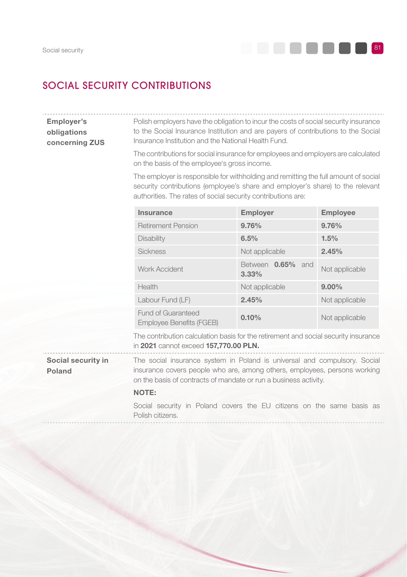

# SOCIAL SECURITY CONTRIBUTIONS

Employer's obligations concerning ZUS Polish employers have the obligation to incur the costs of social security insurance to the Social Insurance Institution and are payers of contributions to the Social Insurance Institution and the National Health Fund.

> The contributions for social insurance for employees and employers are calculated on the basis of the employee's gross income.

> The employer is responsible for withholding and remitting the full amount of social security contributions (employee's share and employer's share) to the relevant authorities. The rates of social security contributions are:

| Insurance                                      | Employer                         | <b>Employee</b> |
|------------------------------------------------|----------------------------------|-----------------|
| <b>Retirement Pension</b>                      | 9.76%                            | 9.76%           |
| <b>Disability</b>                              | 6.5%                             | 1.5%            |
| <b>Sickness</b>                                | Not applicable                   | 2.45%           |
| <b>Work Accident</b>                           | 0.65%<br>Between<br>and<br>3.33% | Not applicable  |
| Health                                         | Not applicable                   | $9.00\%$        |
| Labour Fund (LF)                               | 2.45%                            | Not applicable  |
| Fund of Guaranteed<br>Employee Benefits (FGEB) | 0.10%                            | Not applicable  |

The contribution calculation basis for the retirement and social security insurance in 2021 cannot exceed 157,770.00 PLN.

Social security in Poland

The social insurance system in Poland is universal and compulsory. Social insurance covers people who are, among others, employees, persons working on the basis of contracts of mandate or run a business activity.

#### NOTE:

Social security in Poland covers the EU citizens on the same basis as Polish citizens.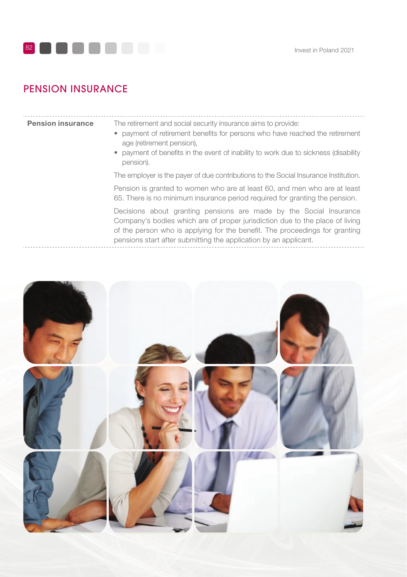

# PENSION INSURANCE

|  |  |  | <b>Pension insurance</b> |
|--|--|--|--------------------------|
|--|--|--|--------------------------|

The retirement and social security insurance aims to provide:

- payment of retirement benefits for persons who have reached the retirement age (retirement pension),
- payment of benefits in the event of inability to work due to sickness (disability pension).

The employer is the payer of due contributions to the Social Insurance Institution.

Pension is granted to women who are at least 60, and men who are at least 65. There is no minimum insurance period required for granting the pension.

Decisions about granting pensions are made by the Social Insurance Company's bodies which are of proper jurisdiction due to the place of living of the person who is applying for the benefit. The proceedings for granting pensions start after submitting the application by an applicant.

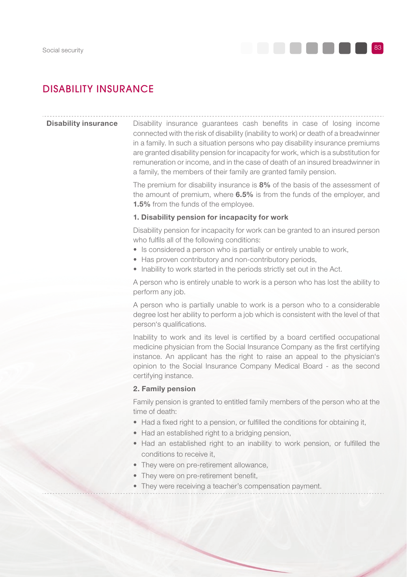

# DISABILITY INSURANCE

**Disability insurance** Disability insurance guarantees cash benefits in case of losing income connected with the risk of disability (inability to work) or death of a breadwinner in a family. In such a situation persons who pay disability insurance premiums are granted disability pension for incapacity for work, which is a substitution for remuneration or income, and in the case of death of an insured breadwinner in a family, the members of their family are granted family pension.

> The premium for disability insurance is 8% of the basis of the assessment of the amount of premium, where 6.5% is from the funds of the employer, and 1.5% from the funds of the employee.

#### 1. Disability pension for incapacity for work

Disability pension for incapacity for work can be granted to an insured person who fulfils all of the following conditions:

- Is considered a person who is partially or entirely unable to work,
- Has proven contributory and non-contributory periods,
- Inability to work started in the periods strictly set out in the Act.

A person who is entirely unable to work is a person who has lost the ability to perform any job.

A person who is partially unable to work is a person who to a considerable degree lost her ability to perform a job which is consistent with the level of that person's qualifications.

Inability to work and its level is certified by a board certified occupational medicine physician from the Social Insurance Company as the first certifying instance. An applicant has the right to raise an appeal to the physician's opinion to the Social Insurance Company Medical Board - as the second certifying instance.

#### 2. Family pension

Family pension is granted to entitled family members of the person who at the time of death:

- Had a fixed right to a pension, or fulfilled the conditions for obtaining it,
- Had an established right to a bridging pension.
- Had an established right to an inability to work pension, or fulfilled the conditions to receive it,
- They were on pre-retirement allowance.
- They were on pre-retirement benefit,
- They were receiving a teacher's compensation payment.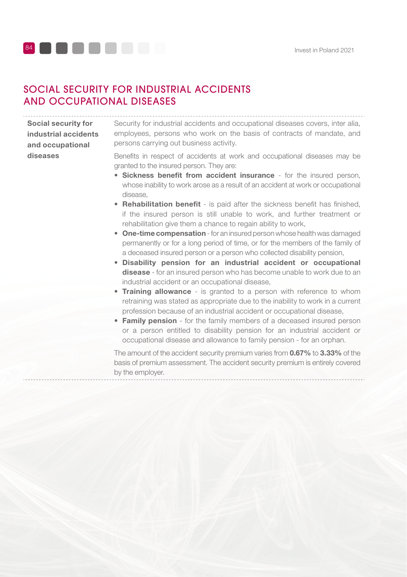

## SOCIAL SECURITY FOR INDUSTRIAL ACCIDENTS AND OCCUPATIONAL DISEASES

Social security for industrial accidents and occupational diseases

Security for industrial accidents and occupational diseases covers, inter alia, employees, persons who work on the basis of contracts of mandate, and persons carrying out business activity.

Benefits in respect of accidents at work and occupational diseases may be granted to the insured person. They are:

- Sickness benefit from accident insurance for the insured person, whose inability to work arose as a result of an accident at work or occupational disease,
- Rehabilitation benefit is paid after the sickness benefit has finished. if the insured person is still unable to work, and further treatment or rehabilitation give them a chance to regain ability to work.
- One-time compensation for an insured person whose health was damaged permanently or for a long period of time, or for the members of the family of a deceased insured person or a person who collected disability pension,
- Disability pension for an industrial accident or occupational disease - for an insured person who has become unable to work due to an industrial accident or an occupational disease,
- Training allowance is granted to a person with reference to whom retraining was stated as appropriate due to the inability to work in a current profession because of an industrial accident or occupational disease,
- Family pension for the family members of a deceased insured person or a person entitled to disability pension for an industrial accident or occupational disease and allowance to family pension - for an orphan.

The amount of the accident security premium varies from 0.67% to 3.33% of the basis of premium assessment. The accident security premium is entirely covered by the employer.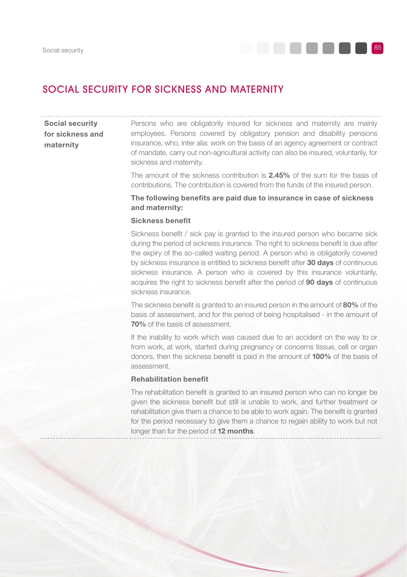

## SOCIAL SECURITY FOR SICKNESS AND MATERNITY

## Social security for sickness and maternity

Persons who are obligatorily insured for sickness and maternity are mainly employees. Persons covered by obligatory pension and disability pensions insurance, who, inter alia: work on the basis of an agency agreement or contract of mandate, carry out non-agricultural activity can also be insured, voluntarily, for sickness and maternity.

The amount of the sickness contribution is 2.45% of the sum for the basis of contributions. The contribution is covered from the funds of the insured person.

## The following benefits are paid due to insurance in case of sickness and maternity:

### Sickness benefit

Sickness benefit / sick pay is granted to the insured person who became sick during the period of sickness insurance. The right to sickness benefit is due after the expiry of the so-called waiting period. A person who is obligatorily covered by sickness insurance is entitled to sickness benefit after 30 days of continuous sickness insurance. A person who is covered by this insurance voluntarily, acquires the right to sickness benefit after the period of 90 days of continuous sickness insurance.

The sickness benefit is granted to an insured person in the amount of 80% of the basis of assessment, and for the period of being hospitalised - in the amount of 70% of the basis of assessment.

If the inability to work which was caused due to an accident on the way to or from work, at work, started during pregnancy or concerns tissue, cell or organ donors, then the sickness benefit is paid in the amount of 100% of the basis of assessment.

#### **Rehabilitation benefit**

The rehabilitation benefit is granted to an insured person who can no longer be given the sickness benefit but still is unable to work, and further treatment or rehabilitation give them a chance to be able to work again. The benefit is granted for the period necessary to give them a chance to regain ability to work but not longer than for the period of 12 months.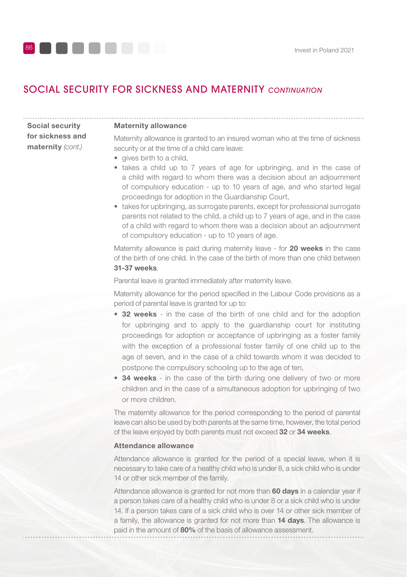

# SOCIAL SECURITY FOR SICKNESS AND MATERNITY *CONTINUATION*

Social security for sickness and maternity (cont.)

#### Maternity allowance

Maternity allowance is granted to an insured woman who at the time of sickness security or at the time of a child care leave:

- gives birth to a child.
- takes a child up to 7 years of age for upbringing, and in the case of a child with regard to whom there was a decision about an adjournment of compulsory education - up to 10 years of age, and who started legal proceedings for adoption in the Guardianship Court,
- takes for upbringing, as surrogate parents, except for professional surrogate parents not related to the child, a child up to 7 years of age, and in the case of a child with regard to whom there was a decision about an adjournment of compulsory education - up to 10 years of age.

Maternity allowance is paid during maternity leave - for 20 weeks in the case of the birth of one child. In the case of the birth of more than one child between 31-37 weeks.

Parental leave is granted immediately after maternity leave.

Maternity allowance for the period specified in the Labour Code provisions as a period of parental leave is granted for up to:

- 32 weeks in the case of the birth of one child and for the adoption for upbringing and to apply to the guardianship court for instituting proceedings for adoption or acceptance of upbringing as a foster family with the exception of a professional foster family of one child up to the age of seven, and in the case of a child towards whom it was decided to postpone the compulsory schooling up to the age of ten,
- 34 weeks in the case of the birth during one delivery of two or more children and in the case of a simultaneous adoption for upbringing of two or more children.

The maternity allowance for the period corresponding to the period of parental leave can also be used by both parents at the same time, however, the total period of the leave enjoyed by both parents must not exceed 32 or 34 weeks.

#### Attendance allowance

Attendance allowance is granted for the period of a special leave, when it is necessary to take care of a healthy child who is under 8, a sick child who is under 14 or other sick member of the family.

Attendance allowance is granted for not more than 60 days in a calendar year if a person takes care of a healthy child who is under 8 or a sick child who is under 14. If a person takes care of a sick child who is over 14 or other sick member of a family, the allowance is granted for not more than 14 days. The allowance is paid in the amount of 80% of the basis of allowance assessment.